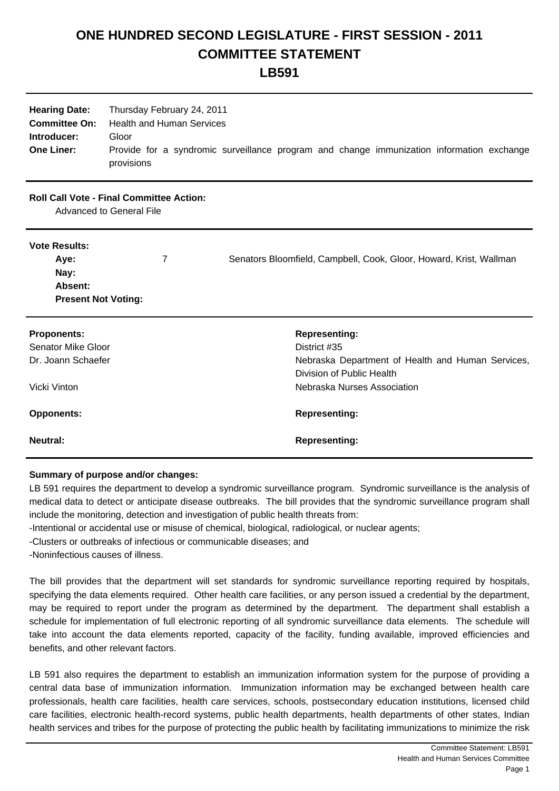## **ONE HUNDRED SECOND LEGISLATURE - FIRST SESSION - 2011 COMMITTEE STATEMENT**

**LB591**

| <b>Hearing Date:</b><br><b>Committee On:</b><br>Introducer:<br><b>One Liner:</b>                           | Thursday February 24, 2011<br><b>Health and Human Services</b><br>Gloor<br>provisions | Provide for a syndromic surveillance program and change immunization information exchange                                                                                     |
|------------------------------------------------------------------------------------------------------------|---------------------------------------------------------------------------------------|-------------------------------------------------------------------------------------------------------------------------------------------------------------------------------|
| <b>Roll Call Vote - Final Committee Action:</b><br>Advanced to General File                                |                                                                                       |                                                                                                                                                                               |
| <b>Vote Results:</b><br>Aye:<br>Nay:<br>Absent:<br><b>Present Not Voting:</b>                              | 7                                                                                     | Senators Bloomfield, Campbell, Cook, Gloor, Howard, Krist, Wallman                                                                                                            |
| <b>Proponents:</b><br><b>Senator Mike Gloor</b><br>Dr. Joann Schaefer<br>Vicki Vinton<br><b>Opponents:</b> |                                                                                       | <b>Representing:</b><br>District #35<br>Nebraska Department of Health and Human Services,<br>Division of Public Health<br>Nebraska Nurses Association<br><b>Representing:</b> |
| <b>Neutral:</b>                                                                                            |                                                                                       | <b>Representing:</b>                                                                                                                                                          |

## **Summary of purpose and/or changes:**

LB 591 requires the department to develop a syndromic surveillance program. Syndromic surveillance is the analysis of medical data to detect or anticipate disease outbreaks. The bill provides that the syndromic surveillance program shall include the monitoring, detection and investigation of public health threats from:

- Intentional or accidental use or misuse of chemical, biological, radiological, or nuclear agents;
- Clusters or outbreaks of infectious or communicable diseases; and
- - Noninfectious causes of illness.

The bill provides that the department will set standards for syndromic surveillance reporting required by hospitals, specifying the data elements required. Other health care facilities, or any person issued a credential by the department, may be required to report under the program as determined by the department. The department shall establish a schedule for implementation of full electronic reporting of all syndromic surveillance data elements. The schedule will take into account the data elements reported, capacity of the facility, funding available, improved efficiencies and benefits, and other relevant factors.

LB 591 also requires the department to establish an immunization information system for the purpose of providing a central data base of immunization information. Immunization information may be exchanged between health care professionals, health care facilities, health care services, schools, postsecondary education institutions, licensed child care facilities, electronic health-record systems, public health departments, health departments of other states, Indian health services and tribes for the purpose of protecting the public health by facilitating immunizations to minimize the risk